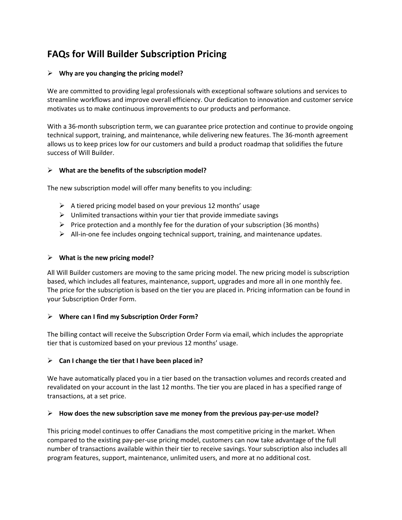# **FAQs for Will Builder Subscription Pricing**

## ➢ **Why are you changing the pricing model?**

We are committed to providing legal professionals with exceptional software solutions and services to streamline workflows and improve overall efficiency. Our dedication to innovation and customer service motivates us to make continuous improvements to our products and performance.

With a 36-month subscription term, we can guarantee price protection and continue to provide ongoing technical support, training, and maintenance, while delivering new features. The 36-month agreement allows us to keep prices low for our customers and build a product roadmap that solidifies the future success of Will Builder.

#### ➢ **What are the benefits of the subscription model?**

The new subscription model will offer many benefits to you including:

- $\triangleright$  A tiered pricing model based on your previous 12 months' usage
- $\triangleright$  Unlimited transactions within your tier that provide immediate savings
- $\triangleright$  Price protection and a monthly fee for the duration of your subscription (36 months)
- $\triangleright$  All-in-one fee includes ongoing technical support, training, and maintenance updates.

#### ➢ **What is the new pricing model?**

All Will Builder customers are moving to the same pricing model. The new pricing model is subscription based, which includes all features, maintenance, support, upgrades and more all in one monthly fee. The price for the subscription is based on the tier you are placed in. Pricing information can be found in your Subscription Order Form.

#### ➢ **Where can I find my Subscription Order Form?**

The billing contact will receive the Subscription Order Form via email, which includes the appropriate tier that is customized based on your previous 12 months' usage.

#### ➢ **Can I change the tier that I have been placed in?**

We have automatically placed you in a tier based on the transaction volumes and records created and revalidated on your account in the last 12 months. The tier you are placed in has a specified range of transactions, at a set price.

#### ➢ **How does the new subscription save me money from the previous pay-per-use model?**

This pricing model continues to offer Canadians the most competitive pricing in the market. When compared to the existing pay-per-use pricing model, customers can now take advantage of the full number of transactions available within their tier to receive savings. Your subscription also includes all program features, support, maintenance, unlimited users, and more at no additional cost.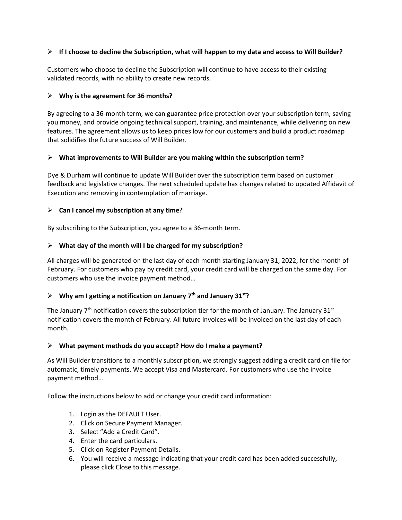## ➢ **If I choose to decline the Subscription, what will happen to my data and access to Will Builder?**

Customers who choose to decline the Subscription will continue to have access to their existing validated records, with no ability to create new records.

## ➢ **Why is the agreement for 36 months?**

By agreeing to a 36-month term, we can guarantee price protection over your subscription term, saving you money, and provide ongoing technical support, training, and maintenance, while delivering on new features. The agreement allows us to keep prices low for our customers and build a product roadmap that solidifies the future success of Will Builder.

## ➢ **What improvements to Will Builder are you making within the subscription term?**

Dye & Durham will continue to update Will Builder over the subscription term based on customer feedback and legislative changes. The next scheduled update has changes related to updated Affidavit of Execution and removing in contemplation of marriage.

## ➢ **Can I cancel my subscription at any time?**

By subscribing to the Subscription, you agree to a 36-month term.

## ➢ **What day of the month will I be charged for my subscription?**

All charges will be generated on the last day of each month starting January 31, 2022, for the month of February. For customers who pay by credit card, your credit card will be charged on the same day. For customers who use the invoice payment method…

## ➢ **Why am I getting a notification on January 7th and January 31st?**

The January  $7<sup>th</sup>$  notification covers the subscription tier for the month of January. The January 31 $<sup>st</sup>$ </sup> notification covers the month of February. All future invoices will be invoiced on the last day of each month.

#### ➢ **What payment methods do you accept? How do I make a payment?**

As Will Builder transitions to a monthly subscription, we strongly suggest adding a credit card on file for automatic, timely payments. We accept Visa and Mastercard. For customers who use the invoice payment method…

Follow the instructions below to add or change your credit card information:

- 1. Login as the DEFAULT User.
- 2. Click on Secure Payment Manager.
- 3. Select "Add a Credit Card".
- 4. Enter the card particulars.
- 5. Click on Register Payment Details.
- 6. You will receive a message indicating that your credit card has been added successfully, please click Close to this message.